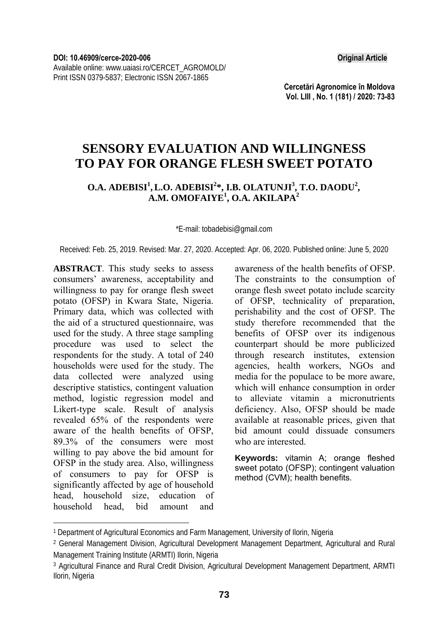**Cercetări Agronomice în Moldova Vol. LIII , No. 1 (181) / 2020: 73-83** 

# **SENSORY EVALUATION AND WILLINGNESS TO PAY FOR ORANGE FLESH SWEET POTATO**

## **O.A. ADEBISI<sup>1</sup>, L.O. ADEBISI<sup>2</sup>\*, I.B. OLATUNJI<sup>3</sup>, T.O. DAODU<sup>2</sup>, A.M. OMOFAIYE1 , O.A. AKILAPA<sup>2</sup>**

\*E-mail: tobadebisi@gmail.com

Received: Feb. 25, 2019. Revised: Mar. 27, 2020. Accepted: Apr. 06, 2020. Published online: June 5, 2020

**ABSTRACT**. This study seeks to assess consumers' awareness, acceptability and willingness to pay for orange flesh sweet potato (OFSP) in Kwara State, Nigeria. Primary data, which was collected with the aid of a structured questionnaire, was used for the study. A three stage sampling procedure was used to select the respondents for the study. A total of 240 households were used for the study. The data collected were analyzed using descriptive statistics, contingent valuation method, logistic regression model and Likert-type scale. Result of analysis revealed 65% of the respondents were aware of the health benefits of OFSP, 89.3% of the consumers were most willing to pay above the bid amount for OFSP in the study area. Also, willingness of consumers to pay for OFSP is significantly affected by age of household head, household size, education of household head, bid amount and

l

awareness of the health benefits of OFSP. The constraints to the consumption of orange flesh sweet potato include scarcity of OFSP, technicality of preparation, perishability and the cost of OFSP. The study therefore recommended that the benefits of OFSP over its indigenous counterpart should be more publicized through research institutes, extension agencies, health workers, NGOs and media for the populace to be more aware, which will enhance consumption in order to alleviate vitamin a micronutrients deficiency. Also, OFSP should be made available at reasonable prices, given that bid amount could dissuade consumers who are interested.

**Keywords:** vitamin A; orange fleshed sweet potato (OFSP); contingent valuation method (CVM); health benefits.

<sup>1</sup> Department of Agricultural Economics and Farm Management, University of Ilorin, Nigeria

<sup>2</sup> General Management Division, Agricultural Development Management Department, Agricultural and Rural Management Training Institute (ARMTI) Ilorin, Nigeria

<sup>3</sup> Agricultural Finance and Rural Credit Division, Agricultural Development Management Department, ARMTI Ilorin, Nigeria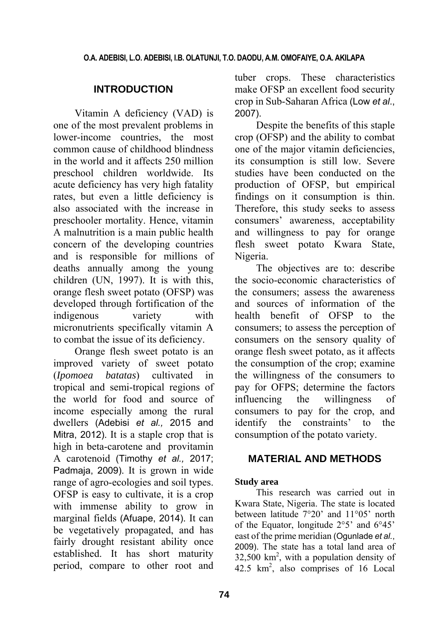## **INTRODUCTION**

Vitamin A deficiency (VAD) is one of the most prevalent problems in lower-income countries, the most common cause of childhood blindness in the world and it affects 250 million preschool children worldwide. Its acute deficiency has very high fatality rates, but even a little deficiency is also associated with the increase in preschooler mortality. Hence, vitamin A malnutrition is a main public health concern of the developing countries and is responsible for millions of deaths annually among the young children (UN, 1997). It is with this, orange flesh sweet potato (OFSP) was developed through fortification of the indigenous variety with micronutrients specifically vitamin A to combat the issue of its deficiency.

Orange flesh sweet potato is an improved variety of sweet potato (*Ipomoea batatas*) cultivated in tropical and semi-tropical regions of the world for food and source of income especially among the rural dwellers (Adebisi *et al.,* 2015 and Mitra, 2012). It is a staple crop that is high in beta-carotene and provitamin A carotenoid (Timothy *et al.,* 2017; Padmaja, 2009). It is grown in wide range of agro-ecologies and soil types. OFSP is easy to cultivate, it is a crop with immense ability to grow in marginal fields (Afuape, 2014). It can be vegetatively propagated, and has fairly drought resistant ability once established. It has short maturity period, compare to other root and tuber crops. These characteristics make OFSP an excellent food security crop in Sub-Saharan Africa (Low *et al*., 2007).

Despite the benefits of this staple crop (OFSP) and the ability to combat one of the major vitamin deficiencies, its consumption is still low. Severe studies have been conducted on the production of OFSP, but empirical findings on it consumption is thin. Therefore, this study seeks to assess consumers' awareness, acceptability and willingness to pay for orange flesh sweet potato Kwara State, Nigeria.

The objectives are to: describe the socio-economic characteristics of the consumers; assess the awareness and sources of information of the health benefit of OFSP to the consumers; to assess the perception of consumers on the sensory quality of orange flesh sweet potato, as it affects the consumption of the crop; examine the willingness of the consumers to pay for OFPS; determine the factors influencing the willingness of consumers to pay for the crop, and identify the constraints' to the consumption of the potato variety.

## **MATERIAL AND METHODS**

## **Study area**

This research was carried out in Kwara State, Nigeria. The state is located between latitude 7°20' and 11°05' north of the Equator, longitude 2°5' and 6°45' east of the prime meridian (Ogunlade *et al.*, 2009). The state has a total land area of  $32,500 \text{ km}^2$ , with a population density of  $42.5 \text{ km}^2$ , also comprises of 16 Local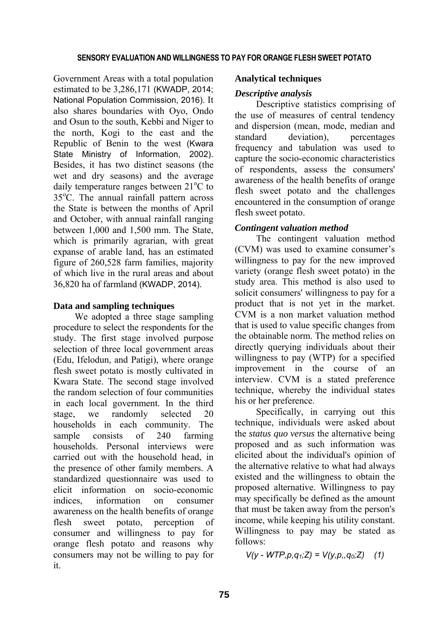Government Areas with a total population estimated to be 3,286,171 (KWADP, 2014; National Population Commission, 2016). It also shares boundaries with Oyo, Ondo and Osun to the south, Kebbi and Niger to the north, Kogi to the east and the Republic of Benin to the west (Kwara State Ministry of Information, 2002). Besides, it has two distinct seasons (the wet and dry seasons) and the average daily temperature ranges between 21°C to 35°C. The annual rainfall pattern across the State is between the months of April and October, with annual rainfall ranging between 1,000 and 1,500 mm. The State, which is primarily agrarian, with great expanse of arable land, has an estimated figure of 260,528 farm families, majority of which live in the rural areas and about 36,820 ha of farmland (KWADP, 2014).

### **Data and sampling techniques**

We adopted a three stage sampling procedure to select the respondents for the study. The first stage involved purpose selection of three local government areas (Edu, Ifelodun, and Patigi), where orange flesh sweet potato is mostly cultivated in Kwara State. The second stage involved the random selection of four communities in each local government. In the third stage, we randomly selected 20 households in each community. The sample consists of 240 farming households. Personal interviews were carried out with the household head, in the presence of other family members. A standardized questionnaire was used to elicit information on socio-economic indices, information on consumer awareness on the health benefits of orange flesh sweet potato, perception of consumer and willingness to pay for orange flesh potato and reasons why consumers may not be willing to pay for it.

### **Analytical techniques**

### *Descriptive analysis*

Descriptive statistics comprising of the use of measures of central tendency and dispersion (mean, mode, median and standard deviation), percentages frequency and tabulation was used to capture the socio-economic characteristics of respondents, assess the consumers' awareness of the health benefits of orange flesh sweet potato and the challenges encountered in the consumption of orange flesh sweet potato.

## *Contingent valuation method*

The contingent valuation method (CVM) was used to examine consumer's willingness to pay for the new improved variety (orange flesh sweet potato) in the study area. This method is also used to solicit consumers' willingness to pay for a product that is not yet in the market. CVM is a non market valuation method that is used to value specific changes from the obtainable norm. The method relies on directly querying individuals about their willingness to pay (WTP) for a specified improvement in the course of an interview. CVM is a stated preference technique, whereby the individual states his or her preference.

Specifically, in carrying out this technique, individuals were asked about the *status quo versus* the alternative being proposed and as such information was elicited about the individual's opinion of the alternative relative to what had always existed and the willingness to obtain the proposed alternative. Willingness to pay may specifically be defined as the amount that must be taken away from the person's income, while keeping his utility constant. Willingness to pay may be stated as follows:

 $V(y - WTP, p, q_1; Z) = V(y, p, q_0; Z)$  (1)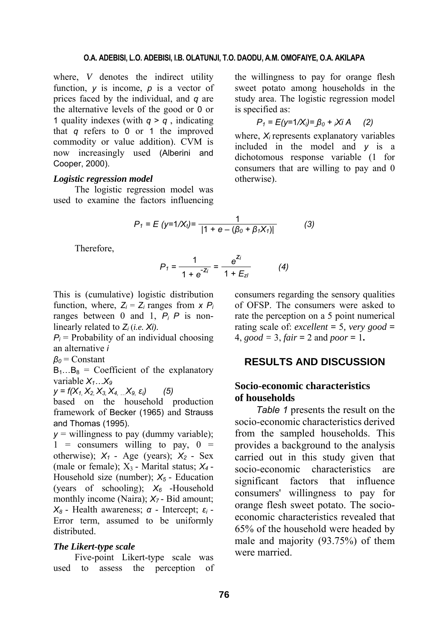#### **O.A. ADEBISI, L.O. ADEBISI, I.B. OLATUNJI, T.O. DAODU, A.M. OMOFAIYE, O.A. AKILAPA**

where, *V* denotes the indirect utility function, *y* is income, *p* is a vector of prices faced by the individual, and *q* are the alternative levels of the good or 0 or 1 quality indexes (with  $q > q$ , indicating that *q* refers to 0 or 1 the improved commodity or value addition). CVM is now increasingly used (Alberini and Cooper, 2000).

### *Logistic regression model*

The logistic regression model was used to examine the factors influencing the willingness to pay for orange flesh sweet potato among households in the study area. The logistic regression model is specified as:

$$
P_1 = E(y=1/X_i) = \beta_0 + iX_iA
$$
 (2)

where,  $X_i$  represents explanatory variables included in the model and *y* is a dichotomous response variable (1 for consumers that are willing to pay and 0 otherwise).

$$
P_1 = E (y=1/X_1) = \frac{1}{|1 + e - (\beta_0 + \beta_1 X_1)|} \tag{3}
$$

Therefore,

$$
P_1 = \frac{1}{1 + e^{-Z_i}} = \frac{e^{Z_i}}{1 + E_{zI}} \tag{4}
$$

This is (cumulative) logistic distribution function, where,  $Z_i = Z_i$  ranges from  $x P_i$ ranges between 0 and 1, *Pi P* is nonlinearly related to *Zi* (*i.e. Xi)*.

 $P_i$  = Probability of an individual choosing an alternative *i*

*β<sup>0</sup>* = Constant

 $B_1...B_8$  = Coefficient of the explanatory variable  $X_1...X_9$ 

*y = f(X1, X2, X3, X4, …X9, εi) (5)*

based on the household production framework of Becker (1965) and Strauss and Thomas (1995).

 $y =$  willingness to pay (dummy variable);  $1 = \text{consumers}$  willing to pay,  $0 =$ otherwise);  $X_1$  - Age (years);  $X_2$  - Sex (male or female);  $X_3$  - Marital status;  $X_4$  -Household size (number); *X5* - Education (years of schooling);  $X_6$  -Household monthly income (Naira);  $X_7$ - Bid amount; *X8* - Health awareness; *α* - Intercept; *ε<sup>i</sup>* - Error term, assumed to be uniformly distributed.

#### *The Likert-type scale*

Five-point Likert-type scale was used to assess the perception of consumers regarding the sensory qualities of OFSP. The consumers were asked to rate the perception on a 5 point numerical rating scale of: *excellent*  $= 5$ *, very good*  $=$ 4,  $good = 3$ ,  $fair = 2$  and  $poor = 1$ .

### **RESULTS AND DISCUSSION**

## **Socio-economic characteristics of households**

*Table 1* presents the result on the socio-economic characteristics derived from the sampled households. This provides a background to the analysis carried out in this study given that socio-economic characteristics are significant factors that influence consumers' willingness to pay for orange flesh sweet potato. The socioeconomic characteristics revealed that 65% of the household were headed by male and majority (93.75%) of them were married.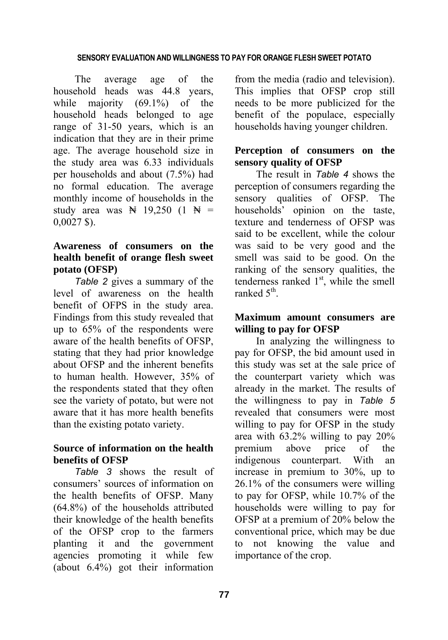The average age of the household heads was 44.8 years, while majority (69.1%) of the household heads belonged to age range of 31-50 years, which is an indication that they are in their prime age. The average household size in the study area was 6.33 individuals per households and about (7.5%) had no formal education. The average monthly income of households in the study area was  $\cancel{N}$  19,250 (1  $\cancel{N}$  = 0,0027 \$).

## **Awareness of consumers on the health benefit of orange flesh sweet potato (OFSP)**

*Table 2* gives a summary of the level of awareness on the health benefit of OFPS in the study area. Findings from this study revealed that up to 65% of the respondents were aware of the health benefits of OFSP, stating that they had prior knowledge about OFSP and the inherent benefits to human health. However, 35% of the respondents stated that they often see the variety of potato, but were not aware that it has more health benefits than the existing potato variety.

## **Source of information on the health benefits of OFSP**

*Table 3* shows the result of consumers' sources of information on the health benefits of OFSP. Many (64.8%) of the households attributed their knowledge of the health benefits of the OFSP crop to the farmers planting it and the government agencies promoting it while few (about 6.4%) got their information

from the media (radio and television). This implies that OFSP crop still needs to be more publicized for the benefit of the populace, especially households having younger children.

## **Perception of consumers on the sensory quality of OFSP**

The result in *Table 4* shows the perception of consumers regarding the sensory qualities of OFSP. The households' opinion on the taste, texture and tenderness of OFSP was said to be excellent, while the colour was said to be very good and the smell was said to be good. On the ranking of the sensory qualities, the tenderness ranked  $1<sup>st</sup>$ , while the smell ranked 5<sup>th</sup>.

## **Maximum amount consumers are willing to pay for OFSP**

In analyzing the willingness to pay for OFSP, the bid amount used in this study was set at the sale price of the counterpart variety which was already in the market. The results of the willingness to pay in *Table 5* revealed that consumers were most willing to pay for OFSP in the study area with 63.2% willing to pay 20% premium above price of the indigenous counterpart. With an increase in premium to 30%, up to 26.1% of the consumers were willing to pay for OFSP, while 10.7% of the households were willing to pay for OFSP at a premium of 20% below the conventional price, which may be due to not knowing the value and importance of the crop.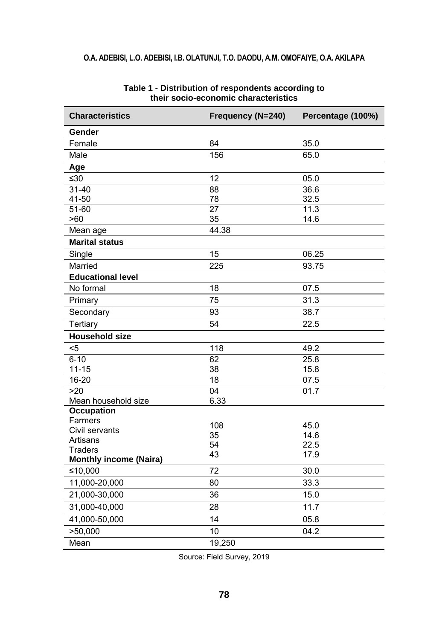## **O.A. ADEBISI, L.O. ADEBISI, I.B. OLATUNJI, T.O. DAODU, A.M. OMOFAIYE, O.A. AKILAPA**

| <b>Characteristics</b>        | <b>Frequency (N=240)</b> | Percentage (100%) |
|-------------------------------|--------------------------|-------------------|
| Gender                        |                          |                   |
| Female                        | 84                       | 35.0              |
| Male                          | 156                      | 65.0              |
| Age                           |                          |                   |
| ≤30                           | 12                       | 05.0              |
| $31 - 40$                     | $\overline{88}$          | 36.6              |
| 41-50                         | 78                       | 32.5              |
| 51-60                         | $\overline{27}$          | 11.3              |
| >60                           | 35                       | 14.6              |
| Mean age                      | 44.38                    |                   |
| <b>Marital status</b>         |                          |                   |
| Single                        | 15                       | 06.25             |
| Married                       | 225                      | 93.75             |
| <b>Educational level</b>      |                          |                   |
| No formal                     | 18                       | 07.5              |
| Primary                       | 75                       | 31.3              |
| Secondary                     | 93                       | 38.7              |
| Tertiary                      | 54                       | 22.5              |
| <b>Household size</b>         |                          |                   |
| $5$                           | 118                      | 49.2              |
| $6 - 10$                      | 62                       | 25.8              |
| $11 - 15$                     | 38                       | 15.8              |
| 16-20                         | 18                       | 07.5              |
| >20                           | 04                       | 01.7              |
| Mean household size           | 6.33                     |                   |
| Occupation                    |                          |                   |
| Farmers<br>Civil servants     | 108                      | 45.0              |
| Artisans                      | 35                       | 14.6              |
| <b>Traders</b>                | 54                       | 22.5              |
| <b>Monthly income (Naira)</b> | 43                       | 17.9              |
| ≤10,000                       | 72                       | 30.0              |
| 11,000-20,000                 | 80                       | 33.3              |
| 21,000-30,000                 | 36                       | 15.0              |
| 31,000-40,000                 | 28                       | 11.7              |
| 41,000-50,000                 | 14                       | 05.8              |
| >50,000                       | 10                       | 04.2              |
| Mean                          | 19,250                   |                   |

#### **Table 1 - Distribution of respondents according to their socio-economic characteristics**

Source: Field Survey, 2019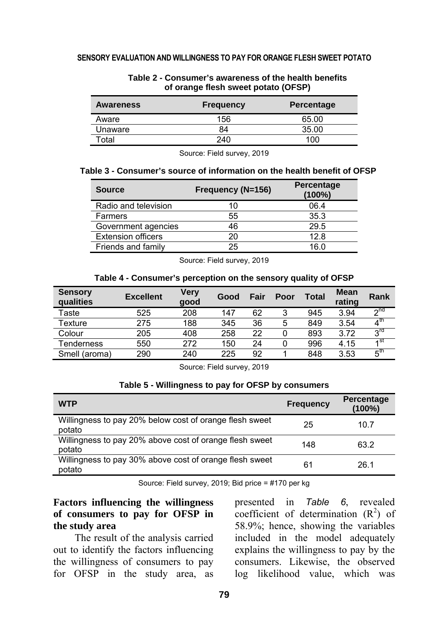| Awareness | <b>Frequency</b> | <b>Percentage</b> |
|-----------|------------------|-------------------|
| Aware     | 156              | 65.00             |
| Unaware   | 84               | 35.00             |
| ัดtal     | 240              | 100               |

#### **Table 2 - Consumer's awareness of the health benefits of orange flesh sweet potato (OFSP)**

Source: Field survey, 2019

#### **Table 3 - Consumer's source of information on the health benefit of OFSP**

| <b>Source</b>             | Frequency (N=156) | <b>Percentage</b><br>$(100\%)$ |
|---------------------------|-------------------|--------------------------------|
| Radio and television      | 10                | 06.4                           |
| Farmers                   | 55                | 35.3                           |
| Government agencies       | 46                | 29.5                           |
| <b>Extension officers</b> | 20                | 12.8                           |
| Friends and family        | 25                | 16.0                           |

Source: Field survey, 2019

#### **Table 4 - Consumer's perception on the sensory quality of OFSP**

| <b>Sensory</b><br><b>qualities</b> | <b>Excellent</b> | Very<br>qood | Good | Fair | Poor | <b>Total</b> | Mean<br>rating | Rank                       |
|------------------------------------|------------------|--------------|------|------|------|--------------|----------------|----------------------------|
| Taste                              | 525              | 208          | 147  | 62   | 3    | 945          | 3.94           | $\gamma$ nd                |
| Texture                            | 275              | 188          | 345  | 36   | 5    | 849          | 3.54           | $\overline{4}^{\text{th}}$ |
| Colour                             | 205              | 408          | 258  | 22   |      | 893          | 3.72           | <b>PLS</b>                 |
| Tenderness                         | 550              | 272          | 150  | 24   |      | 996          | 4.15           | $\overline{1}$ st          |
| Smell (aroma)                      | 290              | 240          | 225  | 92   |      | 848          | 3.53           | $5^{\mathsf{th}}$          |

Source: Field survey, 2019

#### **Table 5 - Willingness to pay for OFSP by consumers**

| <b>WTP</b>                                                        | <b>Frequency</b> | <b>Percentage</b><br>(100%) |
|-------------------------------------------------------------------|------------------|-----------------------------|
| Willingness to pay 20% below cost of orange flesh sweet<br>potato | 25               | 10.7                        |
| Willingness to pay 20% above cost of orange flesh sweet<br>potato | 148              | 63.2                        |
| Willingness to pay 30% above cost of orange flesh sweet<br>potato | 61               | 26.1                        |

Source: Field survey, 2019; Bid price = #170 per kg

## **Factors influencing the willingness of consumers to pay for OFSP in the study area**

The result of the analysis carried out to identify the factors influencing the willingness of consumers to pay for OFSP in the study area, as

presented in *Table 6*, revealed coefficient of determination  $(R^2)$  of 58.9%; hence, showing the variables included in the model adequately explains the willingness to pay by the consumers. Likewise, the observed log likelihood value, which was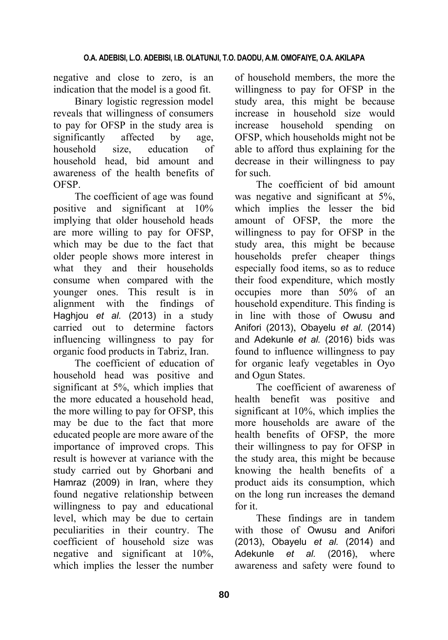negative and close to zero, is an indication that the model is a good fit.

Binary logistic regression model reveals that willingness of consumers to pay for OFSP in the study area is significantly affected by age, household size, education of household head, bid amount and awareness of the health benefits of OFSP.

The coefficient of age was found positive and significant at 10% implying that older household heads are more willing to pay for OFSP, which may be due to the fact that older people shows more interest in what they and their households consume when compared with the younger ones. This result is in alignment with the findings of Haghjou *et al.* (2013) in a study carried out to determine factors influencing willingness to pay for organic food products in Tabriz, Iran.

The coefficient of education of household head was positive and significant at 5%, which implies that the more educated a household head, the more willing to pay for OFSP, this may be due to the fact that more educated people are more aware of the importance of improved crops. This result is however at variance with the study carried out by Ghorbani and Hamraz (2009) in Iran, where they found negative relationship between willingness to pay and educational level, which may be due to certain peculiarities in their country. The coefficient of household size was negative and significant at 10%, which implies the lesser the number

of household members, the more the willingness to pay for OFSP in the study area, this might be because increase in household size would increase household spending on OFSP, which households might not be able to afford thus explaining for the decrease in their willingness to pay for such.

The coefficient of bid amount was negative and significant at 5%, which implies the lesser the bid amount of OFSP, the more the willingness to pay for OFSP in the study area, this might be because households prefer cheaper things especially food items, so as to reduce their food expenditure, which mostly occupies more than 50% of an household expenditure. This finding is in line with those of Owusu and Anifori (2013), Obayelu *et al.* (2014) and Adekunle *et al.* (2016) bids was found to influence willingness to pay for organic leafy vegetables in Oyo and Ogun States.

The coefficient of awareness of health benefit was positive and significant at 10%, which implies the more households are aware of the health benefits of OFSP, the more their willingness to pay for OFSP in the study area, this might be because knowing the health benefits of a product aids its consumption, which on the long run increases the demand for it.

These findings are in tandem with those of Owusu and Anifori (2013), Obayelu *et al.* (2014) and Adekunle *et al.* (2016), where awareness and safety were found to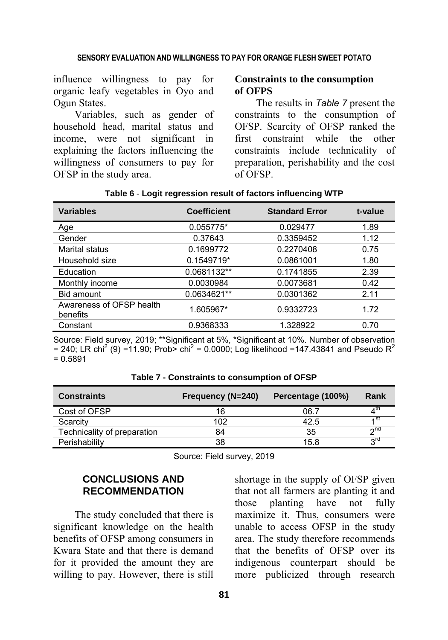influence willingness to pay for organic leafy vegetables in Oyo and Ogun States.

Variables, such as gender of household head, marital status and income, were not significant in explaining the factors influencing the willingness of consumers to pay for OFSP in the study area.

### **Constraints to the consumption of OFPS**

The results in *Table 7* present the constraints to the consumption of OFSP. Scarcity of OFSP ranked the first constraint while the other constraints include technicality of preparation, perishability and the cost of OFSP.

| <b>Variables</b>                     | <b>Coefficient</b> | <b>Standard Error</b> | t-value |
|--------------------------------------|--------------------|-----------------------|---------|
| Age                                  | 0.055775*          | 0.029477              | 1.89    |
| Gender                               | 0.37643            | 0.3359452             | 1.12    |
| Marital status                       | 0.1699772          | 0.2270408             | 0.75    |
| Household size                       | 0.1549719*         | 0.0861001             | 1.80    |
| Education                            | 0.0681132**        | 0.1741855             | 2.39    |
| Monthly income                       | 0.0030984          | 0.0073681             | 0.42    |
| Bid amount                           | 0.0634621**        | 0.0301362             | 2.11    |
| Awareness of OFSP health<br>benefits | 1.605967*          | 0.9332723             | 1.72    |
| Constant                             | 0.9368333          | 1.328922              | 0.70    |

## **Table 6** - **Logit regression result of factors influencing WTP**

Source: Field survey, 2019; \*\*Significant at 5%, \*Significant at 10%. Number of observation = 240; LR chi<sup>2</sup> (9) = 11.90; Prob> chi<sup>2</sup> = 0.0000; Log likelihood = 147.43841 and Pseudo R<sup>2</sup>  $= 0.5891$ 

| <b>Constraints</b>          | Frequency (N=240) | Percentage (100%) | Rank      |
|-----------------------------|-------------------|-------------------|-----------|
| Cost of OFSP                | 16                | 06.7              |           |
| Scarcity                    | 102               | 42.5              | 4 SI      |
| Technicality of preparation | 84                | 35                | $\sim$ na |
| Perishability               | 38                | 15.8              | ra ج      |

**Table 7 - Constraints to consumption of OFSP** 

Source: Field survey, 2019

## **CONCLUSIONS AND RECOMMENDATION**

The study concluded that there is significant knowledge on the health benefits of OFSP among consumers in Kwara State and that there is demand for it provided the amount they are willing to pay. However, there is still shortage in the supply of OFSP given that not all farmers are planting it and those planting have not fully maximize it. Thus, consumers were unable to access OFSP in the study area. The study therefore recommends that the benefits of OFSP over its indigenous counterpart should be more publicized through research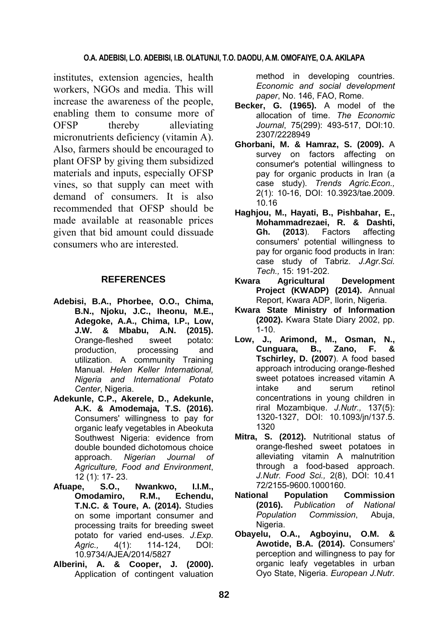institutes, extension agencies, health workers, NGOs and media. This will increase the awareness of the people, enabling them to consume more of OFSP thereby alleviating micronutrients deficiency (vitamin A). Also, farmers should be encouraged to plant OFSP by giving them subsidized materials and inputs, especially OFSP vines, so that supply can meet with demand of consumers. It is also recommended that OFSP should be made available at reasonable prices given that bid amount could dissuade consumers who are interested.

## **REFERENCES**

- **Adebisi, B.A., Phorbee, O.O., Chima, B.N., Njoku, J.C., Iheonu, M.E., Adegoke, A.A., Chima, I.P., Low, J.W. & Mbabu, A.N. (2015).** Orange-fleshed sweet potato: production, processing and utilization. A community Training Manual. *Helen Keller International, Nigeria and International Potato Center*, Nigeria.
- **Adekunle, C.P., Akerele, D., Adekunle, A.K. & Amodemaja, T.S. (2016).** Consumers' willingness to pay for organic leafy vegetables in Abeokuta Southwest Nigeria: evidence from double bounded dichotomous choice approach. *Nigerian Journal of Agriculture, Food and Environment*, 12 (1): 17- 23.
- **Afuape, S.O., Nwankwo, I.I.M., Omodamiro, R.M., Echendu, T.N.C. & Toure, A. (2014).** Studies on some important consumer and processing traits for breeding sweet potato for varied end-uses. *J.Exp. Agric.,* 4(1): 114-124, DOI: 10.9734/AJEA/2014/5827
- **Alberini, A. & Cooper, J. (2000).** Application of contingent valuation

method in developing countries. *Economic and social development paper*, No. 146, FAO, Rome.

- **Becker, G. (1965).** A model of the allocation of time. *The Economic Journal*, 75(299): 493-517, DOI:10. 2307/2228949
- **Ghorbani, M. & Hamraz, S. (2009).** A survey on factors affecting on consumer's potential willingness to pay for organic products in Iran (a case study). *Trends Agric.Econ.,* 2(1): 10-16, DOI: 10.3923/tae.2009. 10.16
- **Haghjou, M., Hayati, B., Pishbahar, E., Mohammadrezaei, R. & Dashti, Gh. (2013**). Factors affecting consumers' potential willingness to pay for organic food products in Iran: case study of Tabriz. *J.Agr.Sci. Tech.,* 15: 191-202.
- **Kwara Agricultural Development Project (KWADP) (2014).** Annual Report, Kwara ADP, Ilorin, Nigeria.
- **Kwara State Ministry of Information (2002).** Kwara State Diary 2002, pp. 1-10.
- **Low, J., Arimond, M., Osman, N., Cunguara, B., Zano, F. & Tschirley, D. (2007**). A food based approach introducing orange-fleshed sweet potatoes increased vitamin A intake and serum retinol concentrations in young children in riral Mozambique. *J.Nutr.,* 137(5): 1320-1327, DOI: 10.1093/jn/137.5. 1320
- **Mitra, S. (2012).** Nutritional status of orange-fleshed sweet potatoes in alleviating vitamin A malnutrition through a food-based approach. *J.Nutr. Food Sci.,* 2(8), DOI: 10.41 72/2155-9600.1000160.
- **National Population Commission (2016).** *Publication of National Population Commission*, Abuja, Nigeria.
- **Obayelu, O.A., Agboyinu, O.M. & Awotide, B.A. (2014).** Consumers' perception and willingness to pay for organic leafy vegetables in urban Oyo State, Nigeria. *European J.Nutr.*